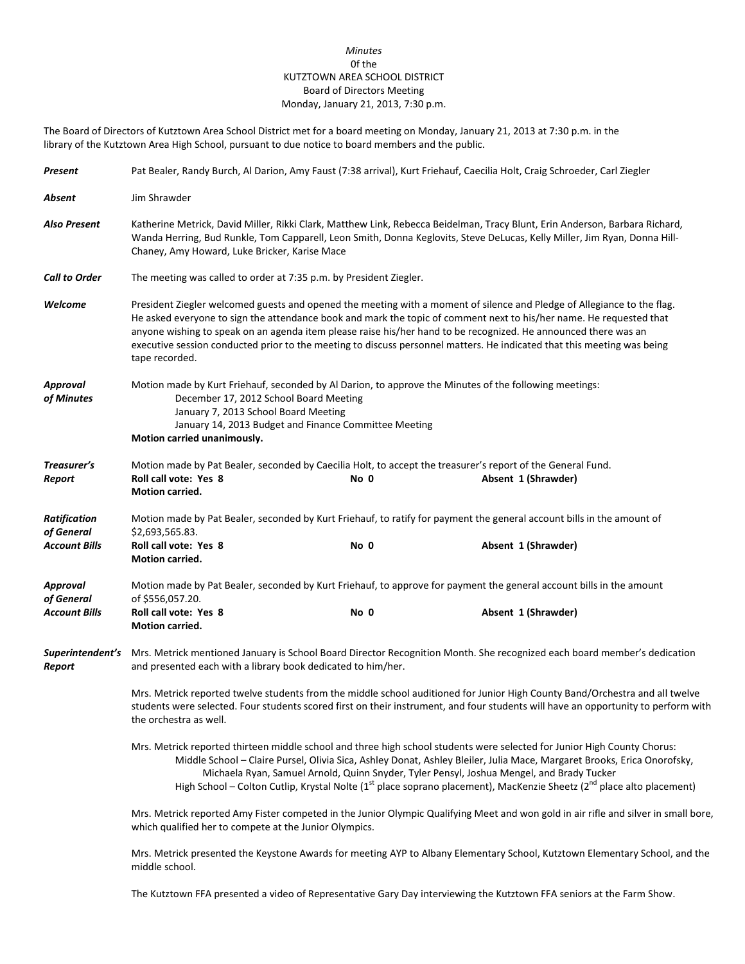## *Minutes* 0f the KUTZTOWN AREA SCHOOL DISTRICT Board of Directors Meeting Monday, January 21, 2013, 7:30 p.m.

The Board of Directors of Kutztown Area School District met for a board meeting on Monday, January 21, 2013 at 7:30 p.m. in the library of the Kutztown Area High School, pursuant to due notice to board members and the public.

| Present                           | Pat Bealer, Randy Burch, Al Darion, Amy Faust (7:38 arrival), Kurt Friehauf, Caecilia Holt, Craig Schroeder, Carl Ziegler                                                                                                                                                                                                                                                                                                                                                                                      |                                                                    |                                                                                                                                    |  |  |
|-----------------------------------|----------------------------------------------------------------------------------------------------------------------------------------------------------------------------------------------------------------------------------------------------------------------------------------------------------------------------------------------------------------------------------------------------------------------------------------------------------------------------------------------------------------|--------------------------------------------------------------------|------------------------------------------------------------------------------------------------------------------------------------|--|--|
| Absent                            | Jim Shrawder                                                                                                                                                                                                                                                                                                                                                                                                                                                                                                   |                                                                    |                                                                                                                                    |  |  |
| <b>Also Present</b>               | Katherine Metrick, David Miller, Rikki Clark, Matthew Link, Rebecca Beidelman, Tracy Blunt, Erin Anderson, Barbara Richard,<br>Wanda Herring, Bud Runkle, Tom Capparell, Leon Smith, Donna Keglovits, Steve DeLucas, Kelly Miller, Jim Ryan, Donna Hill-<br>Chaney, Amy Howard, Luke Bricker, Karise Mace                                                                                                                                                                                                      |                                                                    |                                                                                                                                    |  |  |
| <b>Call to Order</b>              |                                                                                                                                                                                                                                                                                                                                                                                                                                                                                                                | The meeting was called to order at 7:35 p.m. by President Ziegler. |                                                                                                                                    |  |  |
| Welcome                           | President Ziegler welcomed guests and opened the meeting with a moment of silence and Pledge of Allegiance to the flag.<br>He asked everyone to sign the attendance book and mark the topic of comment next to his/her name. He requested that<br>anyone wishing to speak on an agenda item please raise his/her hand to be recognized. He announced there was an<br>executive session conducted prior to the meeting to discuss personnel matters. He indicated that this meeting was being<br>tape recorded. |                                                                    |                                                                                                                                    |  |  |
| <b>Approval</b><br>of Minutes     | Motion made by Kurt Friehauf, seconded by Al Darion, to approve the Minutes of the following meetings:<br>December 17, 2012 School Board Meeting<br>January 7, 2013 School Board Meeting<br>January 14, 2013 Budget and Finance Committee Meeting<br>Motion carried unanimously.                                                                                                                                                                                                                               |                                                                    |                                                                                                                                    |  |  |
| Treasurer's<br>Report             | Roll call vote: Yes 8<br>Motion carried.                                                                                                                                                                                                                                                                                                                                                                                                                                                                       | No 0                                                               | Motion made by Pat Bealer, seconded by Caecilia Holt, to accept the treasurer's report of the General Fund.<br>Absent 1 (Shrawder) |  |  |
| <b>Ratification</b><br>of General | \$2,693,565.83.                                                                                                                                                                                                                                                                                                                                                                                                                                                                                                |                                                                    | Motion made by Pat Bealer, seconded by Kurt Friehauf, to ratify for payment the general account bills in the amount of             |  |  |
| <b>Account Bills</b>              | Roll call vote: Yes 8<br>Motion carried.                                                                                                                                                                                                                                                                                                                                                                                                                                                                       | No 0                                                               | Absent 1 (Shrawder)                                                                                                                |  |  |
| Approval<br>of General            | of \$556,057.20.                                                                                                                                                                                                                                                                                                                                                                                                                                                                                               |                                                                    | Motion made by Pat Bealer, seconded by Kurt Friehauf, to approve for payment the general account bills in the amount               |  |  |
| <b>Account Bills</b>              | Roll call vote: Yes 8<br>Motion carried.                                                                                                                                                                                                                                                                                                                                                                                                                                                                       | No 0                                                               | Absent 1 (Shrawder)                                                                                                                |  |  |
| Superintendent's<br>Report        | Mrs. Metrick mentioned January is School Board Director Recognition Month. She recognized each board member's dedication<br>and presented each with a library book dedicated to him/her.                                                                                                                                                                                                                                                                                                                       |                                                                    |                                                                                                                                    |  |  |
|                                   | Mrs. Metrick reported twelve students from the middle school auditioned for Junior High County Band/Orchestra and all twelve<br>students were selected. Four students scored first on their instrument, and four students will have an opportunity to perform with<br>the orchestra as well.                                                                                                                                                                                                                   |                                                                    |                                                                                                                                    |  |  |
|                                   | Mrs. Metrick reported thirteen middle school and three high school students were selected for Junior High County Chorus:<br>Middle School - Claire Pursel, Olivia Sica, Ashley Donat, Ashley Bleiler, Julia Mace, Margaret Brooks, Erica Onorofsky,<br>Michaela Ryan, Samuel Arnold, Quinn Snyder, Tyler Pensyl, Joshua Mengel, and Brady Tucker<br>High School – Colton Cutlip, Krystal Nolte (1 <sup>st</sup> place soprano placement), MacKenzie Sheetz (2 <sup>nd</sup> place alto placement)              |                                                                    |                                                                                                                                    |  |  |
|                                   | Mrs. Metrick reported Amy Fister competed in the Junior Olympic Qualifying Meet and won gold in air rifle and silver in small bore,<br>which qualified her to compete at the Junior Olympics.                                                                                                                                                                                                                                                                                                                  |                                                                    |                                                                                                                                    |  |  |
|                                   | Mrs. Metrick presented the Keystone Awards for meeting AYP to Albany Elementary School, Kutztown Elementary School, and the<br>middle school.                                                                                                                                                                                                                                                                                                                                                                  |                                                                    |                                                                                                                                    |  |  |

The Kutztown FFA presented a video of Representative Gary Day interviewing the Kutztown FFA seniors at the Farm Show.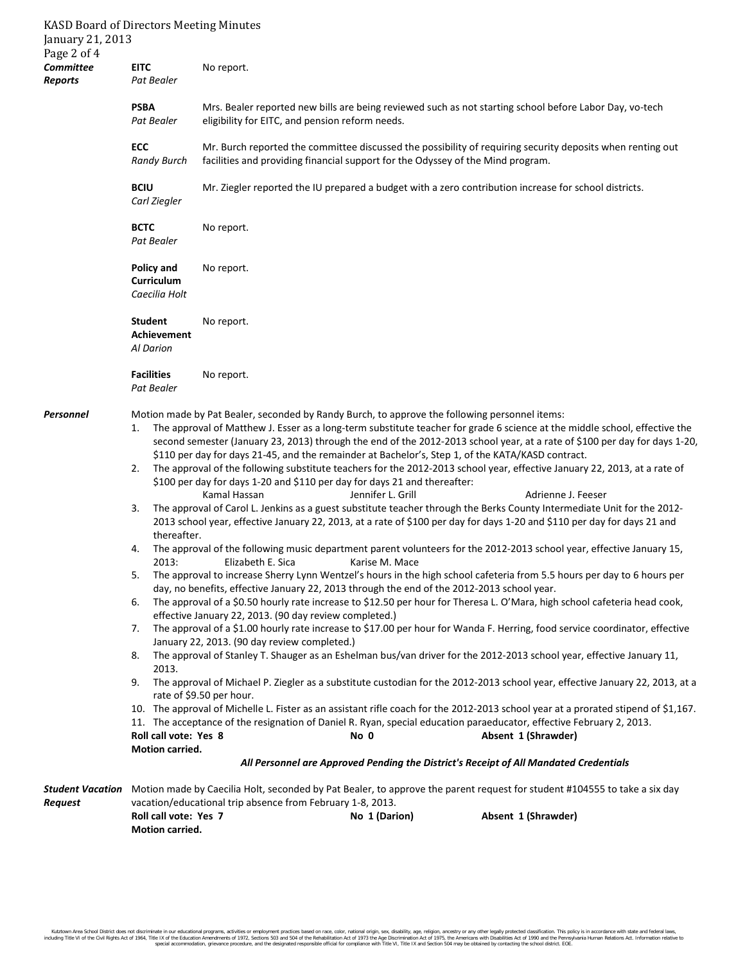| <b>KASD Board of Directors Meeting Minutes</b><br>January 21, 2013<br>Page 2 of 4 |                                                                                                                                                                                                                                                                                                                                                                                                                                                                                                                                                                                                                                                                                                                                                                                                                                                                                                                                                                                                                                                                                                                                                                                                                                                                                                                                                                                                                                                                                                                                                                                                                                                                                                                                                                                                                                                                                                                                                                                                                                                                                                                                                                                                                                                                                                                                                                                                                                                                                                                                                                         |                                                                                 |               |                                                                                                            |
|-----------------------------------------------------------------------------------|-------------------------------------------------------------------------------------------------------------------------------------------------------------------------------------------------------------------------------------------------------------------------------------------------------------------------------------------------------------------------------------------------------------------------------------------------------------------------------------------------------------------------------------------------------------------------------------------------------------------------------------------------------------------------------------------------------------------------------------------------------------------------------------------------------------------------------------------------------------------------------------------------------------------------------------------------------------------------------------------------------------------------------------------------------------------------------------------------------------------------------------------------------------------------------------------------------------------------------------------------------------------------------------------------------------------------------------------------------------------------------------------------------------------------------------------------------------------------------------------------------------------------------------------------------------------------------------------------------------------------------------------------------------------------------------------------------------------------------------------------------------------------------------------------------------------------------------------------------------------------------------------------------------------------------------------------------------------------------------------------------------------------------------------------------------------------------------------------------------------------------------------------------------------------------------------------------------------------------------------------------------------------------------------------------------------------------------------------------------------------------------------------------------------------------------------------------------------------------------------------------------------------------------------------------------------------|---------------------------------------------------------------------------------|---------------|------------------------------------------------------------------------------------------------------------|
| <b>Committee</b><br>Reports                                                       | <b>EITC</b><br>Pat Bealer                                                                                                                                                                                                                                                                                                                                                                                                                                                                                                                                                                                                                                                                                                                                                                                                                                                                                                                                                                                                                                                                                                                                                                                                                                                                                                                                                                                                                                                                                                                                                                                                                                                                                                                                                                                                                                                                                                                                                                                                                                                                                                                                                                                                                                                                                                                                                                                                                                                                                                                                               | No report.                                                                      |               |                                                                                                            |
|                                                                                   | <b>PSBA</b><br>Pat Bealer                                                                                                                                                                                                                                                                                                                                                                                                                                                                                                                                                                                                                                                                                                                                                                                                                                                                                                                                                                                                                                                                                                                                                                                                                                                                                                                                                                                                                                                                                                                                                                                                                                                                                                                                                                                                                                                                                                                                                                                                                                                                                                                                                                                                                                                                                                                                                                                                                                                                                                                                               | eligibility for EITC, and pension reform needs.                                 |               | Mrs. Bealer reported new bills are being reviewed such as not starting school before Labor Day, vo-tech    |
|                                                                                   | ECC<br><b>Randy Burch</b>                                                                                                                                                                                                                                                                                                                                                                                                                                                                                                                                                                                                                                                                                                                                                                                                                                                                                                                                                                                                                                                                                                                                                                                                                                                                                                                                                                                                                                                                                                                                                                                                                                                                                                                                                                                                                                                                                                                                                                                                                                                                                                                                                                                                                                                                                                                                                                                                                                                                                                                                               | facilities and providing financial support for the Odyssey of the Mind program. |               | Mr. Burch reported the committee discussed the possibility of requiring security deposits when renting out |
|                                                                                   | <b>BCIU</b><br>Carl Ziegler                                                                                                                                                                                                                                                                                                                                                                                                                                                                                                                                                                                                                                                                                                                                                                                                                                                                                                                                                                                                                                                                                                                                                                                                                                                                                                                                                                                                                                                                                                                                                                                                                                                                                                                                                                                                                                                                                                                                                                                                                                                                                                                                                                                                                                                                                                                                                                                                                                                                                                                                             |                                                                                 |               | Mr. Ziegler reported the IU prepared a budget with a zero contribution increase for school districts.      |
|                                                                                   | <b>BCTC</b><br>Pat Bealer                                                                                                                                                                                                                                                                                                                                                                                                                                                                                                                                                                                                                                                                                                                                                                                                                                                                                                                                                                                                                                                                                                                                                                                                                                                                                                                                                                                                                                                                                                                                                                                                                                                                                                                                                                                                                                                                                                                                                                                                                                                                                                                                                                                                                                                                                                                                                                                                                                                                                                                                               | No report.                                                                      |               |                                                                                                            |
|                                                                                   | <b>Policy and</b><br>Curriculum<br>Caecilia Holt                                                                                                                                                                                                                                                                                                                                                                                                                                                                                                                                                                                                                                                                                                                                                                                                                                                                                                                                                                                                                                                                                                                                                                                                                                                                                                                                                                                                                                                                                                                                                                                                                                                                                                                                                                                                                                                                                                                                                                                                                                                                                                                                                                                                                                                                                                                                                                                                                                                                                                                        | No report.                                                                      |               |                                                                                                            |
|                                                                                   | <b>Student</b><br>Achievement<br>Al Darion                                                                                                                                                                                                                                                                                                                                                                                                                                                                                                                                                                                                                                                                                                                                                                                                                                                                                                                                                                                                                                                                                                                                                                                                                                                                                                                                                                                                                                                                                                                                                                                                                                                                                                                                                                                                                                                                                                                                                                                                                                                                                                                                                                                                                                                                                                                                                                                                                                                                                                                              | No report.                                                                      |               |                                                                                                            |
|                                                                                   | <b>Facilities</b><br>Pat Bealer                                                                                                                                                                                                                                                                                                                                                                                                                                                                                                                                                                                                                                                                                                                                                                                                                                                                                                                                                                                                                                                                                                                                                                                                                                                                                                                                                                                                                                                                                                                                                                                                                                                                                                                                                                                                                                                                                                                                                                                                                                                                                                                                                                                                                                                                                                                                                                                                                                                                                                                                         | No report.                                                                      |               |                                                                                                            |
| Personnel                                                                         | Motion made by Pat Bealer, seconded by Randy Burch, to approve the following personnel items:<br>The approval of Matthew J. Esser as a long-term substitute teacher for grade 6 science at the middle school, effective the<br>1.<br>second semester (January 23, 2013) through the end of the 2012-2013 school year, at a rate of \$100 per day for days 1-20,<br>\$110 per day for days 21-45, and the remainder at Bachelor's, Step 1, of the KATA/KASD contract.<br>The approval of the following substitute teachers for the 2012-2013 school year, effective January 22, 2013, at a rate of<br>2.<br>\$100 per day for days 1-20 and \$110 per day for days 21 and thereafter:<br>Kamal Hassan<br>Jennifer L. Grill<br>Adrienne J. Feeser<br>The approval of Carol L. Jenkins as a guest substitute teacher through the Berks County Intermediate Unit for the 2012-<br>3.<br>2013 school year, effective January 22, 2013, at a rate of \$100 per day for days 1-20 and \$110 per day for days 21 and<br>thereafter.<br>The approval of the following music department parent volunteers for the 2012-2013 school year, effective January 15,<br>4.<br>2013:<br>Elizabeth E. Sica<br>Karise M. Mace<br>The approval to increase Sherry Lynn Wentzel's hours in the high school cafeteria from 5.5 hours per day to 6 hours per<br>5.<br>day, no benefits, effective January 22, 2013 through the end of the 2012-2013 school year.<br>The approval of a \$0.50 hourly rate increase to \$12.50 per hour for Theresa L. O'Mara, high school cafeteria head cook,<br>6.<br>effective January 22, 2013. (90 day review completed.)<br>The approval of a \$1.00 hourly rate increase to \$17.00 per hour for Wanda F. Herring, food service coordinator, effective<br>7.<br>January 22, 2013. (90 day review completed.)<br>The approval of Stanley T. Shauger as an Eshelman bus/van driver for the 2012-2013 school year, effective January 11,<br>8.<br>2013.<br>The approval of Michael P. Ziegler as a substitute custodian for the 2012-2013 school year, effective January 22, 2013, at a<br>9.<br>rate of \$9.50 per hour.<br>10. The approval of Michelle L. Fister as an assistant rifle coach for the 2012-2013 school year at a prorated stipend of \$1,167.<br>11. The acceptance of the resignation of Daniel R. Ryan, special education paraeducator, effective February 2, 2013.<br>Roll call vote: Yes 8<br>Absent 1 (Shrawder)<br>No 0<br>Motion carried.<br>All Personnel are Approved Pending the District's Receipt of All Mandated Credentials |                                                                                 |               |                                                                                                            |
| Student Vacation                                                                  | Motion made by Caecilia Holt, seconded by Pat Bealer, to approve the parent request for student #104555 to take a six day                                                                                                                                                                                                                                                                                                                                                                                                                                                                                                                                                                                                                                                                                                                                                                                                                                                                                                                                                                                                                                                                                                                                                                                                                                                                                                                                                                                                                                                                                                                                                                                                                                                                                                                                                                                                                                                                                                                                                                                                                                                                                                                                                                                                                                                                                                                                                                                                                                               |                                                                                 |               |                                                                                                            |
| <b>Request</b>                                                                    | Roll call vote: Yes 7<br>Motion carried.                                                                                                                                                                                                                                                                                                                                                                                                                                                                                                                                                                                                                                                                                                                                                                                                                                                                                                                                                                                                                                                                                                                                                                                                                                                                                                                                                                                                                                                                                                                                                                                                                                                                                                                                                                                                                                                                                                                                                                                                                                                                                                                                                                                                                                                                                                                                                                                                                                                                                                                                | vacation/educational trip absence from February 1-8, 2013.                      | No 1 (Darion) | Absent 1 (Shrawder)                                                                                        |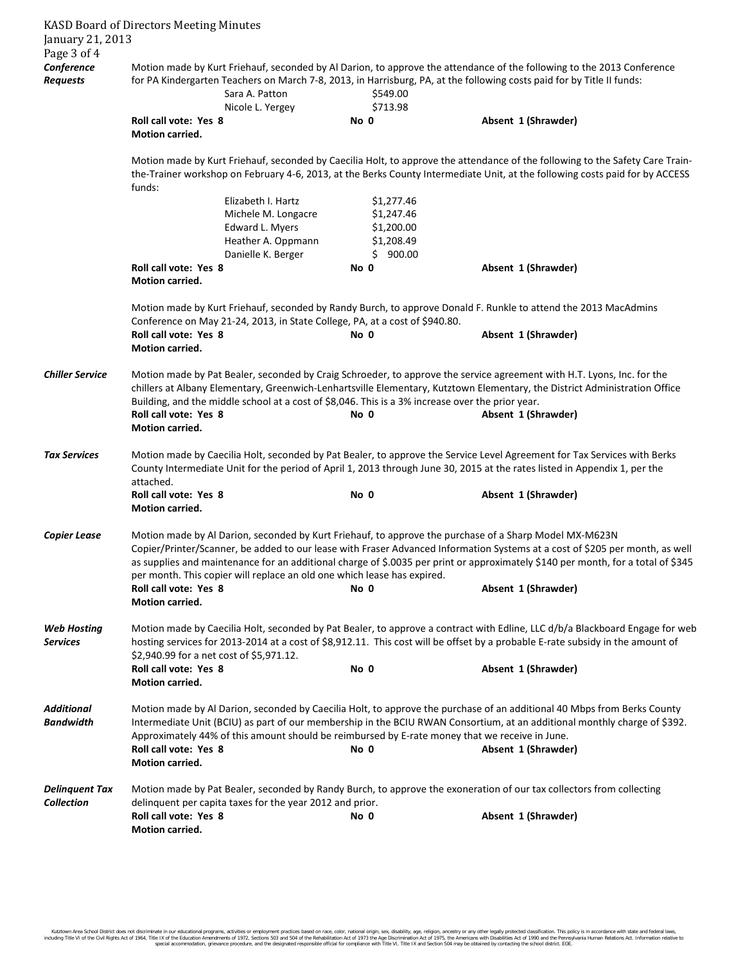| January 21, 2013<br>Page 3 of 4       | <b>KASD Board of Directors Meeting Minutes</b>                                                                                                                                                                                                                                                                                                                                                                                                        |                                                                                                                                                                                                                                                       |                                                                  |                                                                                                                                                                                                                                                                                                                                                                               |  |
|---------------------------------------|-------------------------------------------------------------------------------------------------------------------------------------------------------------------------------------------------------------------------------------------------------------------------------------------------------------------------------------------------------------------------------------------------------------------------------------------------------|-------------------------------------------------------------------------------------------------------------------------------------------------------------------------------------------------------------------------------------------------------|------------------------------------------------------------------|-------------------------------------------------------------------------------------------------------------------------------------------------------------------------------------------------------------------------------------------------------------------------------------------------------------------------------------------------------------------------------|--|
| Conference<br><b>Requests</b>         |                                                                                                                                                                                                                                                                                                                                                                                                                                                       | Sara A. Patton<br>Nicole L. Yergey                                                                                                                                                                                                                    | \$549.00<br>\$713.98                                             | Motion made by Kurt Friehauf, seconded by Al Darion, to approve the attendance of the following to the 2013 Conference<br>for PA Kindergarten Teachers on March 7-8, 2013, in Harrisburg, PA, at the following costs paid for by Title II funds:                                                                                                                              |  |
|                                       | Roll call vote: Yes 8<br>Motion carried.                                                                                                                                                                                                                                                                                                                                                                                                              |                                                                                                                                                                                                                                                       | No 0                                                             | Absent 1 (Shrawder)                                                                                                                                                                                                                                                                                                                                                           |  |
|                                       | funds:                                                                                                                                                                                                                                                                                                                                                                                                                                                |                                                                                                                                                                                                                                                       |                                                                  | Motion made by Kurt Friehauf, seconded by Caecilia Holt, to approve the attendance of the following to the Safety Care Train-<br>the-Trainer workshop on February 4-6, 2013, at the Berks County Intermediate Unit, at the following costs paid for by ACCESS                                                                                                                 |  |
|                                       |                                                                                                                                                                                                                                                                                                                                                                                                                                                       | Elizabeth I. Hartz<br>Michele M. Longacre<br>Edward L. Myers<br>Heather A. Oppmann<br>Danielle K. Berger                                                                                                                                              | \$1,277.46<br>\$1,247.46<br>\$1,200.00<br>\$1,208.49<br>\$900.00 |                                                                                                                                                                                                                                                                                                                                                                               |  |
|                                       | Roll call vote: Yes 8<br>Motion carried.                                                                                                                                                                                                                                                                                                                                                                                                              |                                                                                                                                                                                                                                                       | No 0                                                             | Absent 1 (Shrawder)                                                                                                                                                                                                                                                                                                                                                           |  |
|                                       | Motion made by Kurt Friehauf, seconded by Randy Burch, to approve Donald F. Runkle to attend the 2013 MacAdmins<br>Conference on May 21-24, 2013, in State College, PA, at a cost of \$940.80.                                                                                                                                                                                                                                                        |                                                                                                                                                                                                                                                       |                                                                  |                                                                                                                                                                                                                                                                                                                                                                               |  |
|                                       | Roll call vote: Yes 8<br>Motion carried.                                                                                                                                                                                                                                                                                                                                                                                                              |                                                                                                                                                                                                                                                       | No 0                                                             | Absent 1 (Shrawder)                                                                                                                                                                                                                                                                                                                                                           |  |
| <b>Chiller Service</b>                | Motion made by Pat Bealer, seconded by Craig Schroeder, to approve the service agreement with H.T. Lyons, Inc. for the<br>chillers at Albany Elementary, Greenwich-Lenhartsville Elementary, Kutztown Elementary, the District Administration Office<br>Building, and the middle school at a cost of \$8,046. This is a 3% increase over the prior year.<br>Roll call vote: Yes 8<br>No 0<br>Absent 1 (Shrawder)<br><b>Motion carried.</b>            |                                                                                                                                                                                                                                                       |                                                                  |                                                                                                                                                                                                                                                                                                                                                                               |  |
| <b>Tax Services</b>                   | attached.                                                                                                                                                                                                                                                                                                                                                                                                                                             | Motion made by Caecilia Holt, seconded by Pat Bealer, to approve the Service Level Agreement for Tax Services with Berks<br>County Intermediate Unit for the period of April 1, 2013 through June 30, 2015 at the rates listed in Appendix 1, per the |                                                                  |                                                                                                                                                                                                                                                                                                                                                                               |  |
|                                       | Roll call vote: Yes 8<br><b>Motion carried.</b>                                                                                                                                                                                                                                                                                                                                                                                                       |                                                                                                                                                                                                                                                       | No 0                                                             | Absent 1 (Shrawder)                                                                                                                                                                                                                                                                                                                                                           |  |
| <b>Copier Lease</b>                   | Motion made by Al Darion, seconded by Kurt Friehauf, to approve the purchase of a Sharp Model MX-M623N<br>Copier/Printer/Scanner, be added to our lease with Fraser Advanced Information Systems at a cost of \$205 per month, as well<br>as supplies and maintenance for an additional charge of \$.0035 per print or approximately \$140 per month, for a total of \$345<br>per month. This copier will replace an old one which lease has expired. |                                                                                                                                                                                                                                                       |                                                                  |                                                                                                                                                                                                                                                                                                                                                                               |  |
|                                       | Roll call vote: Yes 8<br><b>Motion carried.</b>                                                                                                                                                                                                                                                                                                                                                                                                       |                                                                                                                                                                                                                                                       | No 0                                                             | Absent 1 (Shrawder)                                                                                                                                                                                                                                                                                                                                                           |  |
| <b>Web Hosting</b><br><b>Services</b> | Motion made by Caecilia Holt, seconded by Pat Bealer, to approve a contract with Edline, LLC d/b/a Blackboard Engage for web<br>hosting services for 2013-2014 at a cost of \$8,912.11. This cost will be offset by a probable E-rate subsidy in the amount of<br>\$2,940.99 for a net cost of \$5,971.12.                                                                                                                                            |                                                                                                                                                                                                                                                       |                                                                  |                                                                                                                                                                                                                                                                                                                                                                               |  |
|                                       | Roll call vote: Yes 8<br><b>Motion carried.</b>                                                                                                                                                                                                                                                                                                                                                                                                       |                                                                                                                                                                                                                                                       | No 0                                                             | Absent 1 (Shrawder)                                                                                                                                                                                                                                                                                                                                                           |  |
| <b>Additional</b><br><b>Bandwidth</b> | Roll call vote: Yes 8                                                                                                                                                                                                                                                                                                                                                                                                                                 |                                                                                                                                                                                                                                                       | No 0                                                             | Motion made by Al Darion, seconded by Caecilia Holt, to approve the purchase of an additional 40 Mbps from Berks County<br>Intermediate Unit (BCIU) as part of our membership in the BCIU RWAN Consortium, at an additional monthly charge of \$392.<br>Approximately 44% of this amount should be reimbursed by E-rate money that we receive in June.<br>Absent 1 (Shrawder) |  |
| <b>Delinquent Tax</b>                 | Motion carried.                                                                                                                                                                                                                                                                                                                                                                                                                                       |                                                                                                                                                                                                                                                       |                                                                  | Motion made by Pat Bealer, seconded by Randy Burch, to approve the exoneration of our tax collectors from collecting                                                                                                                                                                                                                                                          |  |
| <b>Collection</b>                     | Roll call vote: Yes 8<br>Motion carried.                                                                                                                                                                                                                                                                                                                                                                                                              | delinquent per capita taxes for the year 2012 and prior.                                                                                                                                                                                              | No 0                                                             | Absent 1 (Shrawder)                                                                                                                                                                                                                                                                                                                                                           |  |